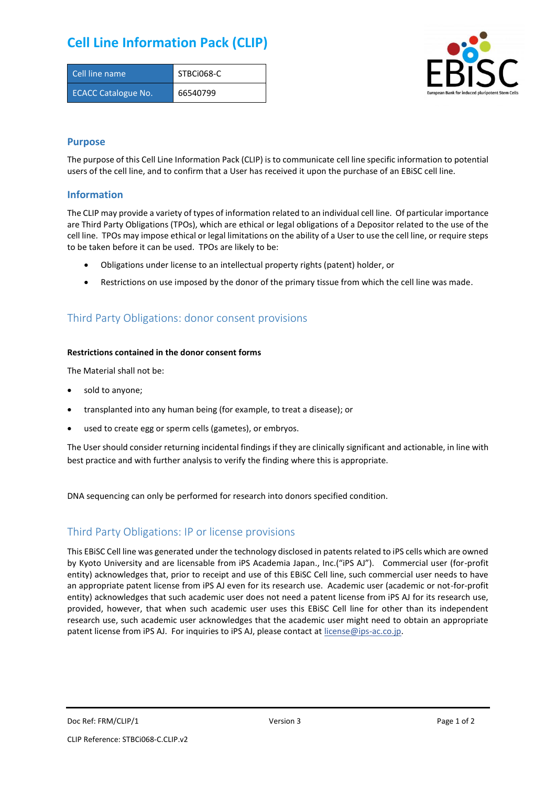## **Cell Line Information Pack (CLIP)**

| Cell line name             | STBCi068-C |
|----------------------------|------------|
| <b>ECACC Catalogue No.</b> | 66540799   |



### **Purpose**

The purpose of this Cell Line Information Pack (CLIP) is to communicate cell line specific information to potential users of the cell line, and to confirm that a User has received it upon the purchase of an EBiSC cell line.

### **Information**

The CLIP may provide a variety of types of information related to an individual cell line. Of particular importance are Third Party Obligations (TPOs), which are ethical or legal obligations of a Depositor related to the use of the cell line. TPOs may impose ethical or legal limitations on the ability of a User to use the cell line, or require steps to be taken before it can be used. TPOs are likely to be:

- Obligations under license to an intellectual property rights (patent) holder, or
- Restrictions on use imposed by the donor of the primary tissue from which the cell line was made.

## Third Party Obligations: donor consent provisions

#### **Restrictions contained in the donor consent forms**

The Material shall not be:

- sold to anyone;
- transplanted into any human being (for example, to treat a disease); or
- used to create egg or sperm cells (gametes), or embryos.

The User should consider returning incidental findings if they are clinically significant and actionable, in line with best practice and with further analysis to verify the finding where this is appropriate.

DNA sequencing can only be performed for research into donors specified condition.

### Third Party Obligations: IP or license provisions

This EBiSC Cell line was generated under the technology disclosed in patents related to iPS cells which are owned by Kyoto University and are licensable from iPS Academia Japan., Inc.("iPS AJ"). Commercial user (for-profit entity) acknowledges that, prior to receipt and use of this EBiSC Cell line, such commercial user needs to have an appropriate patent license from iPS AJ even for its research use. Academic user (academic or not-for-profit entity) acknowledges that such academic user does not need a patent license from iPS AJ for its research use, provided, however, that when such academic user uses this EBiSC Cell line for other than its independent research use, such academic user acknowledges that the academic user might need to obtain an appropriate patent license from iPS AJ. For inquiries to iPS AJ, please contact at [license@ips-ac.co.jp.](mailto:license@ips-ac.co.jp)

Doc Ref: FRM/CLIP/1 **Docessity** Version 3 **Page 1 of 2** Page 1 of 2